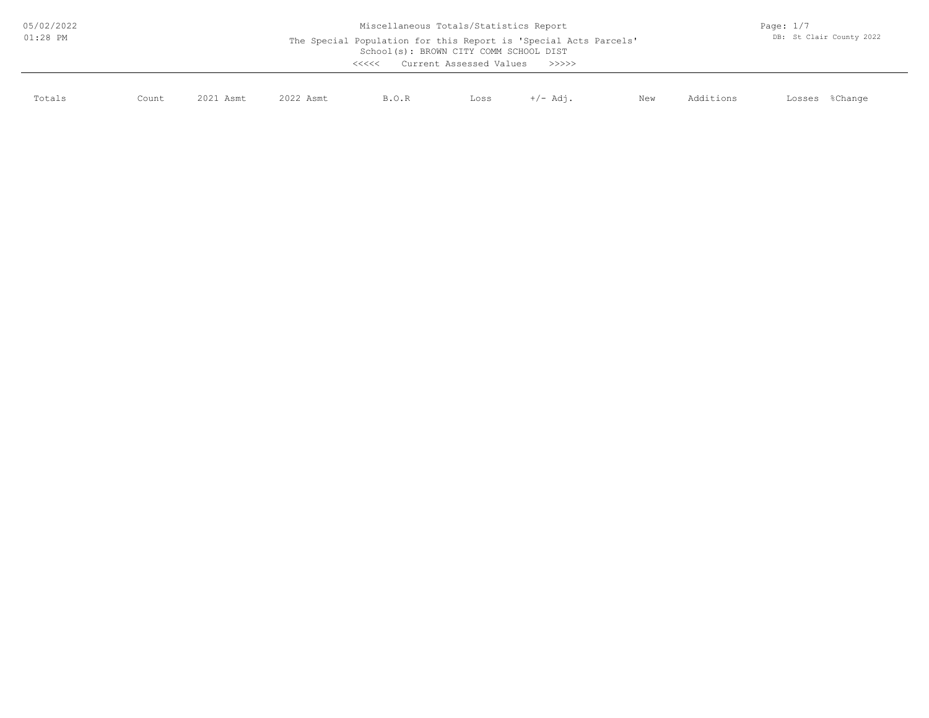| 05/02/2022<br>$01:28$ PM |       | Miscellaneous Totals/Statistics Report<br>The Special Population for this Report is 'Special Acts Parcels'<br>School(s): BROWN CITY COMM SCHOOL DIST<br>Current Assessed Values<br><<<<<br>>>>>> |           |       |      |          |     |           | Page: $1/7$<br>DB: St Clair County 2022 |
|--------------------------|-------|--------------------------------------------------------------------------------------------------------------------------------------------------------------------------------------------------|-----------|-------|------|----------|-----|-----------|-----------------------------------------|
| Totals                   | Count | 2021 Asmt                                                                                                                                                                                        | 2022 Asmt | B.O.R | Loss | +/- Adi. | New | Additions | %Change<br>Losses                       |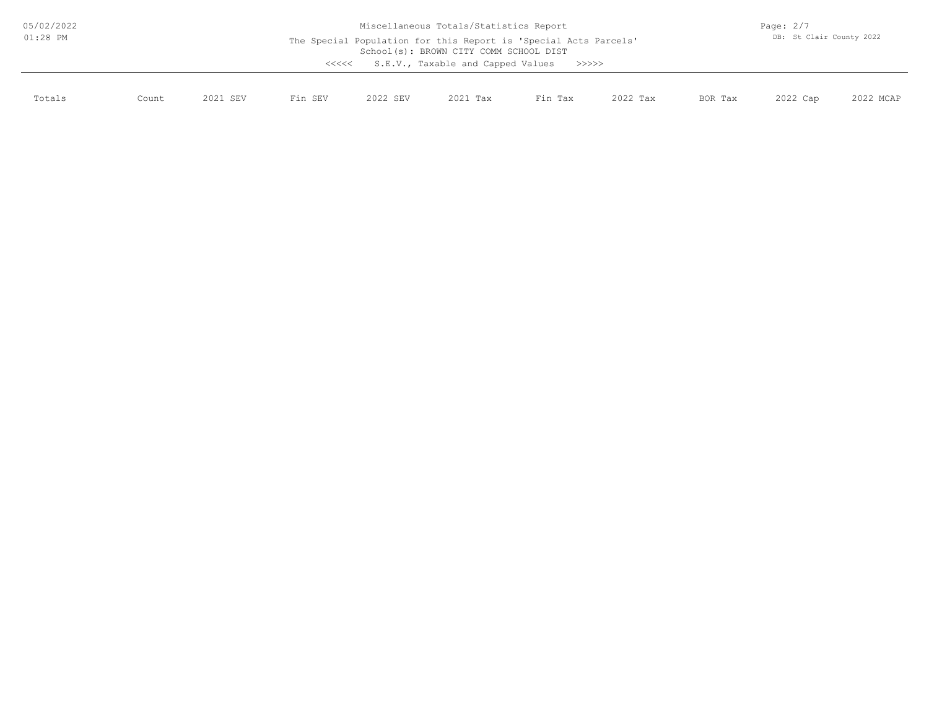| 05/02/2022<br>$01:28$ PM |       | Miscellaneous Totals/Statistics Report<br>The Special Population for this Report is 'Special Acts Parcels' |         |          |          |         |          |         |          | Page: $2/7$<br>DB: St Clair County 2022 |  |  |
|--------------------------|-------|------------------------------------------------------------------------------------------------------------|---------|----------|----------|---------|----------|---------|----------|-----------------------------------------|--|--|
|                          |       | School(s): BROWN CITY COMM SCHOOL DIST<br>S.E.V., Taxable and Capped Values<br><<<<<br>>>>>>>              |         |          |          |         |          |         |          |                                         |  |  |
| Totals                   | Count | 2021 SEV                                                                                                   | Fin SEV | 2022 SEV | 2021 Tax | Fin Tax | 2022 Tax | BOR Tax | 2022 Cap | 2022 MCAP                               |  |  |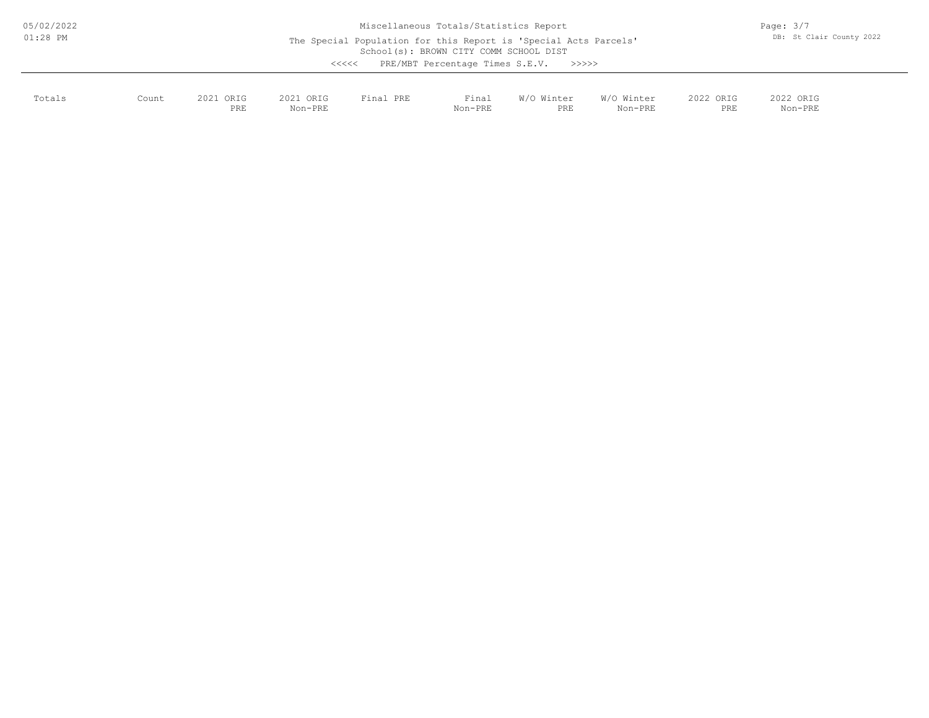| 05/02/2022 |  |
|------------|--|
| $01:28$ PM |  |

School(s): BROWN CITY COMM SCHOOL DIST Miscellaneous Totals/Statistics Report The Special Population for this Report is 'Special Acts Parcels' <<<<< PRE/MBT Percentage Times S.E.V. >>>>>

| Totals | Count | 2021 ORIG | 2021 ORIG | Final PRE | Final   | W/O Winter | W/O Winter | 2022 ORIG | 2022 ORIG |
|--------|-------|-----------|-----------|-----------|---------|------------|------------|-----------|-----------|
|        |       | PRE       | Non-PRE   |           | Non-PRE | PRE        | Non-PRE    | PRE       | Non-PRE   |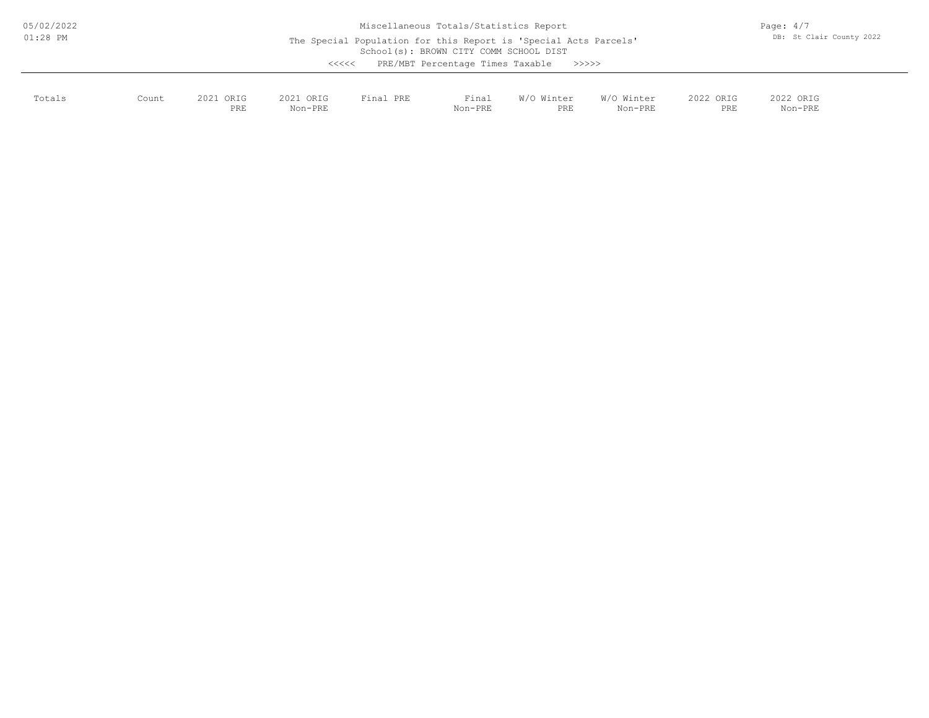| 05/02/2022<br>$01:28$ PM | Miscellaneous Totals/Statistics Report<br>The Special Population for this Report is 'Special Acts Parcels'<br>School(s): BROWN CITY COMM SCHOOL DIST<br>PRE/MBT Percentage Times Taxable<br>>>>>>><br><<<< |                  |                      |           |                  |                   |                       | Page: $4/7$<br>DB: St Clair County 2022 |                      |  |
|--------------------------|------------------------------------------------------------------------------------------------------------------------------------------------------------------------------------------------------------|------------------|----------------------|-----------|------------------|-------------------|-----------------------|-----------------------------------------|----------------------|--|
| Totals                   | Count                                                                                                                                                                                                      | 2021 ORIG<br>PRE | 2021 ORIG<br>Non-PRE | Final PRE | Final<br>Non-PRE | W/O Winter<br>PRE | W/O Winter<br>Non-PRE | 2022 ORIG<br>PRE                        | 2022 ORIG<br>Non-PRE |  |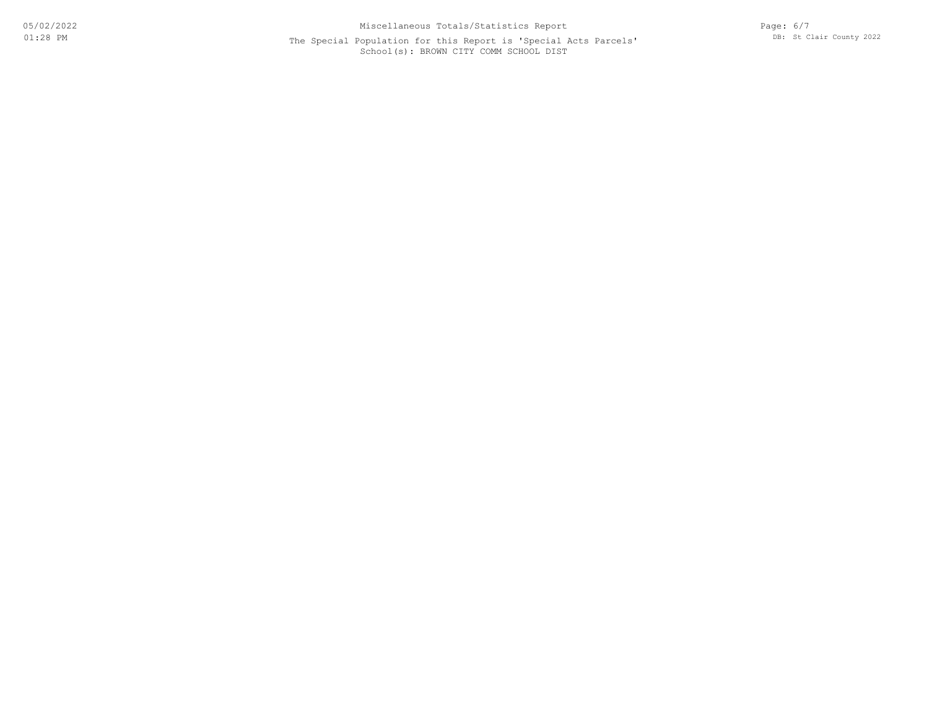School(s): BROWN CITY COMM SCHOOL DIST The Special Population for this Report is 'Special Acts Parcels'